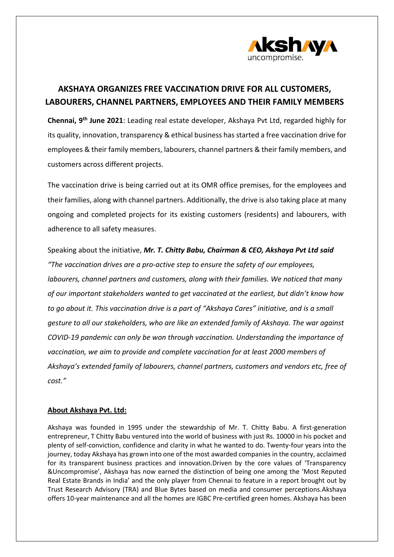

## **AKSHAYA ORGANIZES FREE VACCINATION DRIVE FOR ALL CUSTOMERS, LABOURERS, CHANNEL PARTNERS, EMPLOYEES AND THEIR FAMILY MEMBERS**

**Chennai, 9th June 2021**: Leading real estate developer, Akshaya Pvt Ltd, regarded highly for its quality, innovation, transparency & ethical business has started a free vaccination drive for employees & their family members, labourers, channel partners & their family members, and customers across different projects.

The vaccination drive is being carried out at its OMR office premises, for the employees and their families, along with channel partners. Additionally, the drive is also taking place at many ongoing and completed projects for its existing customers (residents) and labourers, with adherence to all safety measures.

Speaking about the initiative, *Mr. T. Chitty Babu, Chairman & CEO, Akshaya Pvt Ltd said "The vaccination drives are a pro-active step to ensure the safety of our employees, labourers, channel partners and customers, along with their families. We noticed that many of our important stakeholders wanted to get vaccinated at the earliest, but didn't know how to go about it. This vaccination drive is a part of "Akshaya Cares" initiative, and is a small gesture to all our stakeholders, who are like an extended family of Akshaya. The war against COVID-19 pandemic can only be won through vaccination. Understanding the importance of vaccination, we aim to provide and complete vaccination for at least 2000 members of Akshaya's extended family of labourers, channel partners, customers and vendors etc, free of cost."*

## **About Akshaya Pvt. Ltd:**

Akshaya was founded in 1995 under the stewardship of Mr. T. Chitty Babu. A first-generation entrepreneur, T Chitty Babu ventured into the world of business with just Rs. 10000 in his pocket and plenty of self-conviction, confidence and clarity in what he wanted to do. Twenty-four years into the journey, today Akshaya has grown into one of the most awarded companies in the country, acclaimed for its transparent business practices and innovation.Driven by the core values of 'Transparency &Uncompromise', Akshaya has now earned the distinction of being one among the 'Most Reputed Real Estate Brands in India' and the only player from Chennai to feature in a report brought out by Trust Research Advisory (TRA) and Blue Bytes based on media and consumer perceptions.Akshaya offers 10-year maintenance and all the homes are IGBC Pre-certified green homes. Akshaya has been